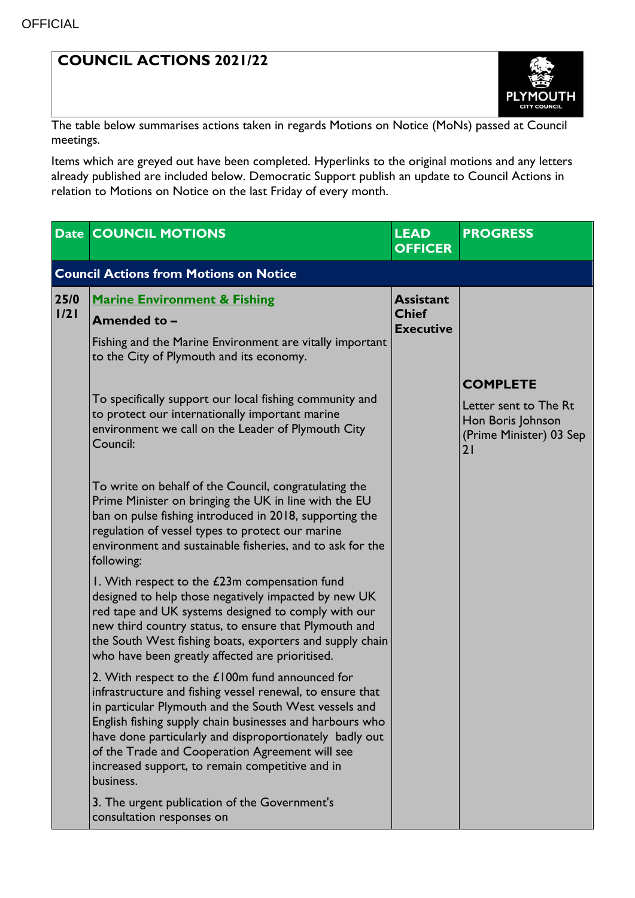## **COUNCIL ACTIONS 2021/22**



The table below summarises actions taken in regards Motions on Notice (MoNs) passed at Council meetings.

Items which are greyed out have been completed. Hyperlinks to the original motions and any letters already published are included below. Democratic Support publish an update to Council Actions in relation to Motions on Notice on the last Friday of every month.

|              | <b>Date COUNCIL MOTIONS</b>                                                                                                                                                                                                                                                                                                                                                                                     | <b>LEAD</b><br><b>OFFICER</b>                        | <b>PROGRESS</b>                                                                                |  |  |  |  |
|--------------|-----------------------------------------------------------------------------------------------------------------------------------------------------------------------------------------------------------------------------------------------------------------------------------------------------------------------------------------------------------------------------------------------------------------|------------------------------------------------------|------------------------------------------------------------------------------------------------|--|--|--|--|
|              | <b>Council Actions from Motions on Notice</b>                                                                                                                                                                                                                                                                                                                                                                   |                                                      |                                                                                                |  |  |  |  |
| 25/0<br>1/21 | <b>Marine Environment &amp; Fishing</b><br>Amended to -                                                                                                                                                                                                                                                                                                                                                         | <b>Assistant</b><br><b>Chief</b><br><b>Executive</b> |                                                                                                |  |  |  |  |
|              | Fishing and the Marine Environment are vitally important<br>to the City of Plymouth and its economy.                                                                                                                                                                                                                                                                                                            |                                                      |                                                                                                |  |  |  |  |
|              | To specifically support our local fishing community and<br>to protect our internationally important marine<br>environment we call on the Leader of Plymouth City<br>Council:                                                                                                                                                                                                                                    |                                                      | <b>COMPLETE</b><br>Letter sent to The Rt<br>Hon Boris Johnson<br>(Prime Minister) 03 Sep<br>21 |  |  |  |  |
|              | To write on behalf of the Council, congratulating the<br>Prime Minister on bringing the UK in line with the EU<br>ban on pulse fishing introduced in 2018, supporting the<br>regulation of vessel types to protect our marine<br>environment and sustainable fisheries, and to ask for the<br>following:                                                                                                        |                                                      |                                                                                                |  |  |  |  |
|              | I. With respect to the £23m compensation fund<br>designed to help those negatively impacted by new UK<br>red tape and UK systems designed to comply with our<br>new third country status, to ensure that Plymouth and<br>the South West fishing boats, exporters and supply chain<br>who have been greatly affected are prioritised.                                                                            |                                                      |                                                                                                |  |  |  |  |
|              | 2. With respect to the £100m fund announced for<br>infrastructure and fishing vessel renewal, to ensure that<br>in particular Plymouth and the South West vessels and<br>English fishing supply chain businesses and harbours who<br>have done particularly and disproportionately badly out<br>of the Trade and Cooperation Agreement will see<br>increased support, to remain competitive and in<br>business. |                                                      |                                                                                                |  |  |  |  |
|              | 3. The urgent publication of the Government's<br>consultation responses on                                                                                                                                                                                                                                                                                                                                      |                                                      |                                                                                                |  |  |  |  |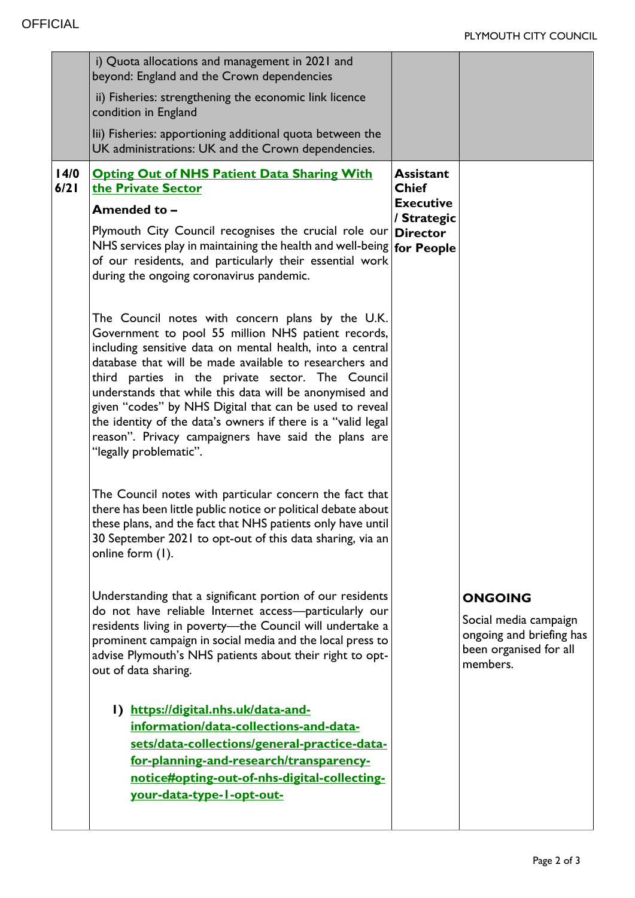|              | i) Quota allocations and management in 2021 and<br>beyond: England and the Crown dependencies                                                                                                                                                                                                                                                                                                                                                                                                                                                              |                                                                     |                                                                                                           |
|--------------|------------------------------------------------------------------------------------------------------------------------------------------------------------------------------------------------------------------------------------------------------------------------------------------------------------------------------------------------------------------------------------------------------------------------------------------------------------------------------------------------------------------------------------------------------------|---------------------------------------------------------------------|-----------------------------------------------------------------------------------------------------------|
|              | ii) Fisheries: strengthening the economic link licence<br>condition in England                                                                                                                                                                                                                                                                                                                                                                                                                                                                             |                                                                     |                                                                                                           |
|              | lii) Fisheries: apportioning additional quota between the<br>UK administrations: UK and the Crown dependencies.                                                                                                                                                                                                                                                                                                                                                                                                                                            |                                                                     |                                                                                                           |
| 14/0<br>6/21 | <b>Opting Out of NHS Patient Data Sharing With</b><br>the Private Sector<br>Amended to -                                                                                                                                                                                                                                                                                                                                                                                                                                                                   | <b>Assistant</b><br><b>Chief</b><br><b>Executive</b><br>/ Strategic |                                                                                                           |
|              | Plymouth City Council recognises the crucial role our Director<br>NHS services play in maintaining the health and well-being for People<br>of our residents, and particularly their essential work<br>during the ongoing coronavirus pandemic.                                                                                                                                                                                                                                                                                                             |                                                                     |                                                                                                           |
|              | The Council notes with concern plans by the U.K.<br>Government to pool 55 million NHS patient records,<br>including sensitive data on mental health, into a central<br>database that will be made available to researchers and<br>third parties in the private sector. The Council<br>understands that while this data will be anonymised and<br>given "codes" by NHS Digital that can be used to reveal<br>the identity of the data's owners if there is a "valid legal<br>reason". Privacy campaigners have said the plans are<br>"legally problematic". |                                                                     |                                                                                                           |
|              | The Council notes with particular concern the fact that<br>there has been little public notice or political debate about<br>these plans, and the fact that NHS patients only have until<br>30 September 2021 to opt-out of this data sharing, via an<br>online form (1).                                                                                                                                                                                                                                                                                   |                                                                     |                                                                                                           |
|              | Understanding that a significant portion of our residents<br>do not have reliable Internet access-particularly our<br>residents living in poverty-the Council will undertake a<br>prominent campaign in social media and the local press to<br>advise Plymouth's NHS patients about their right to opt-<br>out of data sharing.                                                                                                                                                                                                                            |                                                                     | <b>ONGOING</b><br>Social media campaign<br>ongoing and briefing has<br>been organised for all<br>members. |
|              | I) https://digital.nhs.uk/data-and-<br>information/data-collections-and-data-<br>sets/data-collections/general-practice-data-<br>for-planning-and-research/transparency-<br>notice#opting-out-of-nhs-digital-collecting-<br>your-data-type-1-opt-out-                                                                                                                                                                                                                                                                                                      |                                                                     |                                                                                                           |